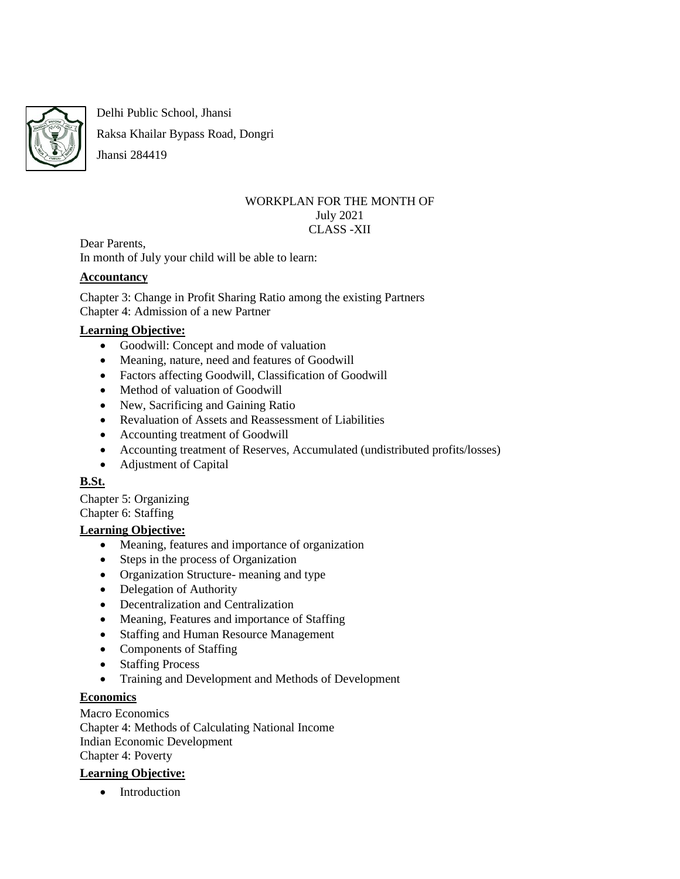

Delhi Public School, Jhansi

Raksa Khailar Bypass Road, Dongri

# Jhansi 284419

#### WORKPLAN FOR THE MONTH OF July 2021 CLASS -XII

Dear Parents, In month of July your child will be able to learn:

## **Accountancy**

Chapter 3: Change in Profit Sharing Ratio among the existing Partners Chapter 4: Admission of a new Partner

## **Learning Objective:**

- Goodwill: Concept and mode of valuation
- Meaning, nature, need and features of Goodwill
- Factors affecting Goodwill, Classification of Goodwill
- Method of valuation of Goodwill
- New, Sacrificing and Gaining Ratio
- Revaluation of Assets and Reassessment of Liabilities
- Accounting treatment of Goodwill
- Accounting treatment of Reserves, Accumulated (undistributed profits/losses)
- Adjustment of Capital

## **B.St.**

Chapter 5: Organizing Chapter 6: Staffing

## **Learning Objective:**

- Meaning, features and importance of organization
- Steps in the process of Organization
- Organization Structure- meaning and type
- Delegation of Authority
- Decentralization and Centralization
- Meaning, Features and importance of Staffing
- Staffing and Human Resource Management
- Components of Staffing
- Staffing Process
- Training and Development and Methods of Development

## **Economics**

Macro Economics Chapter 4: Methods of Calculating National Income Indian Economic Development Chapter 4: Poverty

## **Learning Objective:**

• Introduction